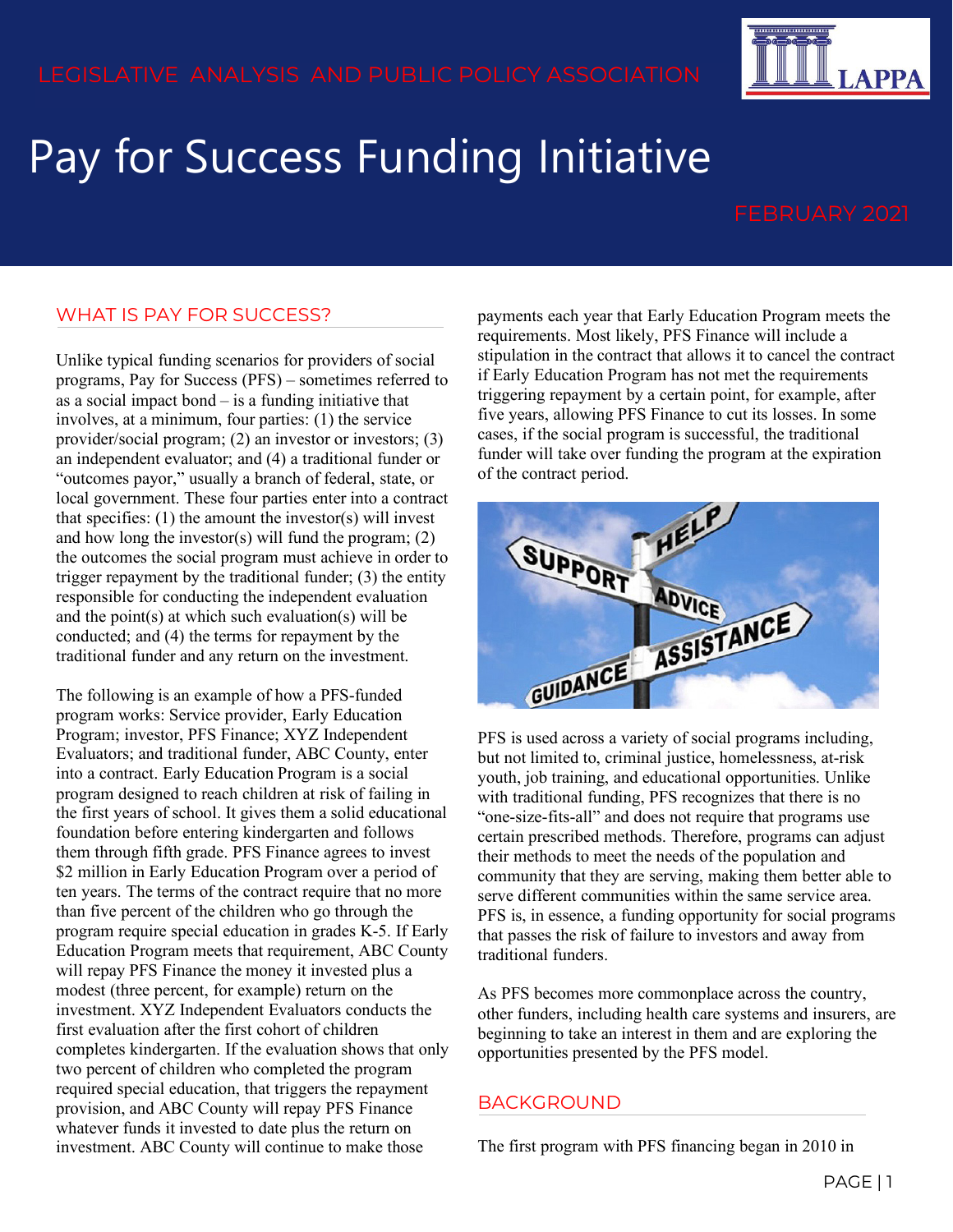

# Pay for Success Funding Initiative

## WHAT IS PAY FOR SUCCESS?

Unlike typical funding scenarios for providers of social programs, Pay for Success (PFS) – sometimes referred to as a social impact bond – is a funding initiative that involves, at a minimum, four parties: (1) the service provider/social program; (2) an investor or investors; (3) an independent evaluator; and (4) a traditional funder or "outcomes payor," usually a branch of federal, state, or local government. These four parties enter into a contract that specifies:  $(1)$  the amount the investor $(s)$  will invest and how long the investor(s) will fund the program; (2) the outcomes the social program must achieve in order to trigger repayment by the traditional funder; (3) the entity responsible for conducting the independent evaluation and the point $(s)$  at which such evaluation $(s)$  will be conducted; and (4) the terms for repayment by the traditional funder and any return on the investment.

The following is an example of how a PFS-funded program works: Service provider, Early Education Program; investor, PFS Finance; XYZ Independent Evaluators; and traditional funder, ABC County, enter into a contract. Early Education Program is a social program designed to reach children at risk of failing in the first years of school. It gives them a solid educational foundation before entering kindergarten and follows them through fifth grade. PFS Finance agrees to invest \$2 million in Early Education Program over a period of ten years. The terms of the contract require that no more than five percent of the children who go through the program require special education in grades K-5. If Early Education Program meets that requirement, ABC County will repay PFS Finance the money it invested plus a modest (three percent, for example) return on the investment. XYZ Independent Evaluators conducts the first evaluation after the first cohort of children completes kindergarten. If the evaluation shows that only two percent of children who completed the program required special education, that triggers the repayment provision, and ABC County will repay PFS Finance whatever funds it invested to date plus the return on investment. ABC County will continue to make those

payments each year that Early Education Program meets the requirements. Most likely, PFS Finance will include a stipulation in the contract that allows it to cancel the contract if Early Education Program has not met the requirements triggering repayment by a certain point, for example, after five years, allowing PFS Finance to cut its losses. In some cases, if the social program is successful, the traditional funder will take over funding the program at the expiration of the contract period.



PFS is used across a variety of social programs including, but not limited to, criminal justice, homelessness, at-risk youth, job training, and educational opportunities. Unlike with traditional funding, PFS recognizes that there is no "one-size-fits-all" and does not require that programs use certain prescribed methods. Therefore, programs can adjust their methods to meet the needs of the population and community that they are serving, making them better able to serve different communities within the same service area. PFS is, in essence, a funding opportunity for social programs that passes the risk of failure to investors and away from traditional funders.

As PFS becomes more commonplace across the country, other funders, including health care systems and insurers, are beginning to take an interest in them and are exploring the opportunities presented by the PFS model.

#### BACKGROUND

The first program with PFS financing began in 2010 in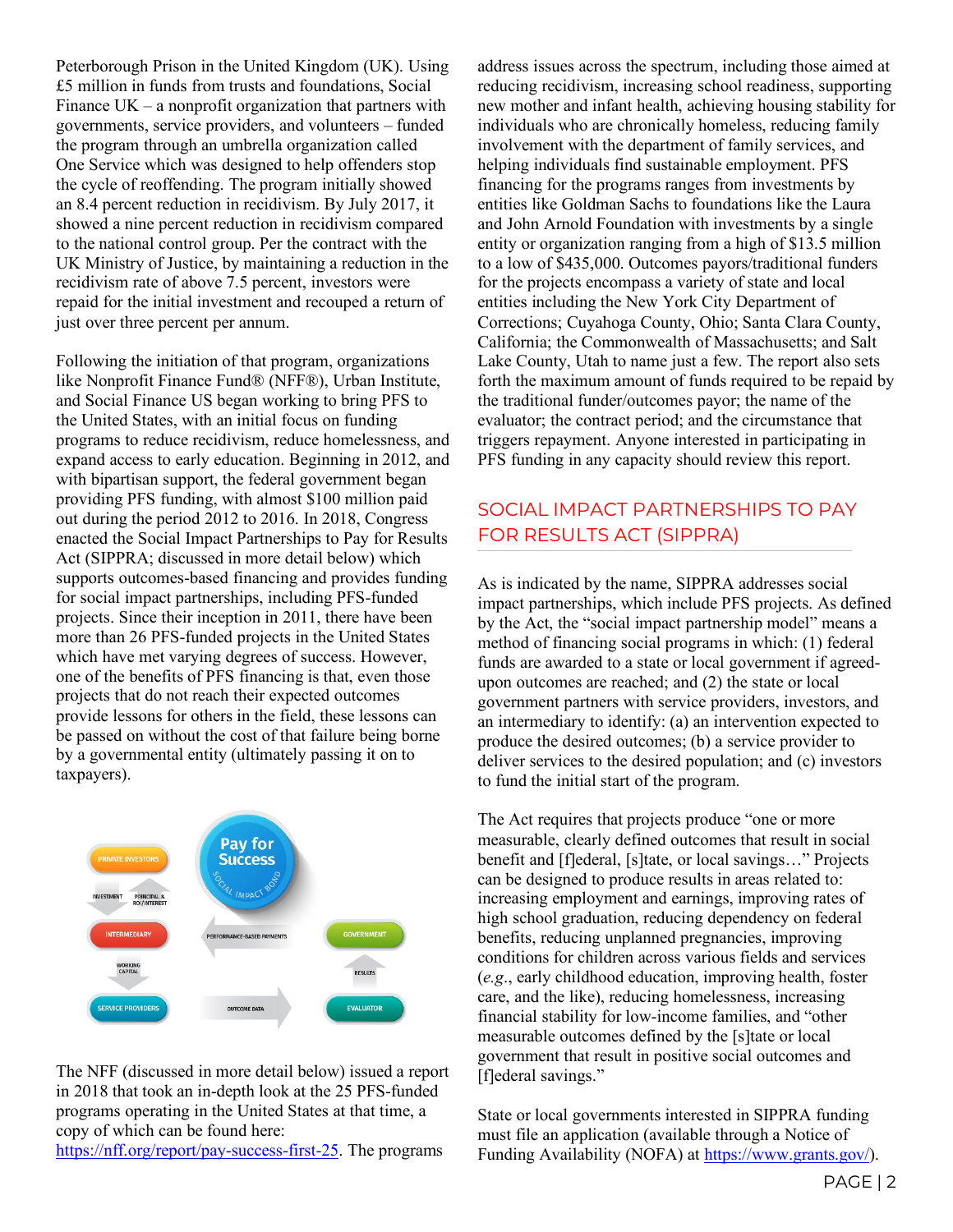Peterborough Prison in the United Kingdom (UK). Using £5 million in funds from trusts and foundations, Social Finance  $UK - a$  nonprofit organization that partners with governments, service providers, and volunteers – funded the program through an umbrella organization called One Service which was designed to help offenders stop the cycle of reoffending. The program initially showed an 8.4 percent reduction in recidivism. By July 2017, it showed a nine percent reduction in recidivism compared to the national control group. Per the contract with the UK Ministry of Justice, by maintaining a reduction in the recidivism rate of above 7.5 percent, investors were repaid for the initial investment and recouped a return of just over three percent per annum.

Following the initiation of that program, organizations like Nonprofit Finance Fund® (NFF®), Urban Institute, and Social Finance US began working to bring PFS to the United States, with an initial focus on funding programs to reduce recidivism, reduce homelessness, and expand access to early education. Beginning in 2012, and with bipartisan support, the federal government began providing PFS funding, with almost \$100 million paid out during the period 2012 to 2016. In 2018, Congress enacted the Social Impact Partnerships to Pay for Results Act (SIPPRA; discussed in more detail below) which supports outcomes-based financing and provides funding for social impact partnerships, including PFS-funded projects. Since their inception in 2011, there have been more than 26 PFS-funded projects in the United States which have met varying degrees of success. However, one of the benefits of PFS financing is that, even those projects that do not reach their expected outcomes provide lessons for others in the field, these lessons can be passed on without the cost of that failure being borne by a governmental entity (ultimately passing it on to taxpayers).



The NFF (discussed in more detail below) issued a report in 2018 that took an in-depth look at the 25 PFS-funded programs operating in the United States at that time, a copy of which can be found here:

[https://nff.org/report/pay-success-first-25.](https://nff.org/report/pay-success-first-25) The programs

address issues across the spectrum, including those aimed at reducing recidivism, increasing school readiness, supporting new mother and infant health, achieving housing stability for individuals who are chronically homeless, reducing family involvement with the department of family services, and helping individuals find sustainable employment. PFS financing for the programs ranges from investments by entities like Goldman Sachs to foundations like the Laura and John Arnold Foundation with investments by a single entity or organization ranging from a high of \$13.5 million to a low of \$435,000. Outcomes payors/traditional funders for the projects encompass a variety of state and local entities including the New York City Department of Corrections; Cuyahoga County, Ohio; Santa Clara County, California; the Commonwealth of Massachusetts; and Salt Lake County, Utah to name just a few. The report also sets forth the maximum amount of funds required to be repaid by the traditional funder/outcomes payor; the name of the evaluator; the contract period; and the circumstance that triggers repayment. Anyone interested in participating in PFS funding in any capacity should review this report.

# SOCIAL IMPACT PARTNERSHIPS TO PAY FOR RESULTS ACT (SIPPRA)

As is indicated by the name, SIPPRA addresses social impact partnerships, which include PFS projects. As defined by the Act, the "social impact partnership model" means a method of financing social programs in which: (1) federal funds are awarded to a state or local government if agreedupon outcomes are reached; and (2) the state or local government partners with service providers, investors, and an intermediary to identify: (a) an intervention expected to produce the desired outcomes; (b) a service provider to deliver services to the desired population; and (c) investors to fund the initial start of the program.

The Act requires that projects produce "one or more measurable, clearly defined outcomes that result in social benefit and [f]ederal, [s]tate, or local savings…" Projects can be designed to produce results in areas related to: increasing employment and earnings, improving rates of high school graduation, reducing dependency on federal benefits, reducing unplanned pregnancies, improving conditions for children across various fields and services (*e.g*., early childhood education, improving health, foster care, and the like), reducing homelessness, increasing financial stability for low-income families, and "other measurable outcomes defined by the [s]tate or local government that result in positive social outcomes and [f]ederal savings."

State or local governments interested in SIPPRA funding must file an application (available through a Notice of Funding Availability (NOFA) at [https://www.grants.gov/\)](https://www.grants.gov/).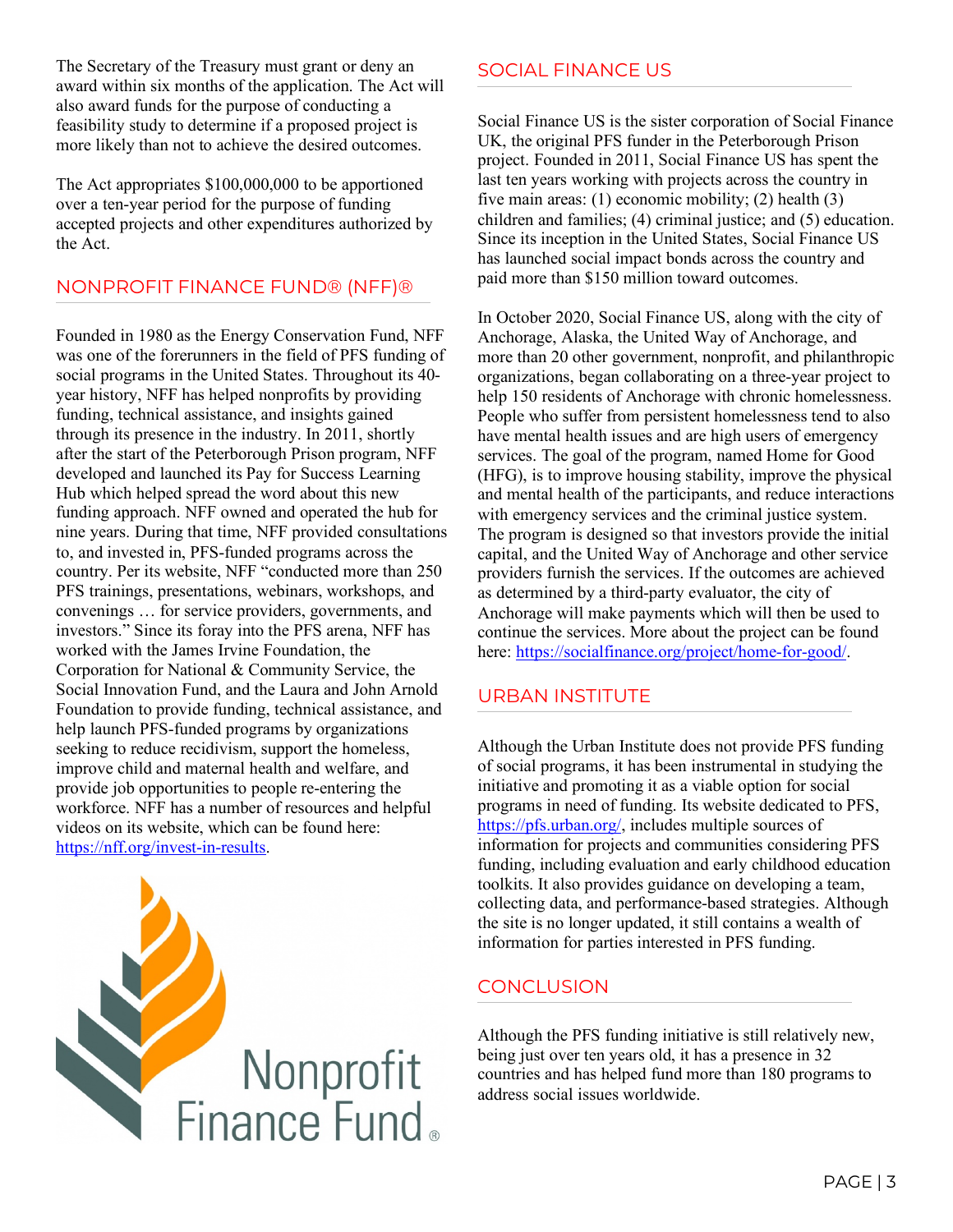The Secretary of the Treasury must grant or deny an award within six months of the application. The Act will also award funds for the purpose of conducting a feasibility study to determine if a proposed project is more likely than not to achieve the desired outcomes.

The Act appropriates \$100,000,000 to be apportioned over a ten-year period for the purpose of funding accepted projects and other expenditures authorized by the Act.

## NONPROFIT FINANCE FUND® (NFF)®

Founded in 1980 as the Energy Conservation Fund, NFF was one of the forerunners in the field of PFS funding of social programs in the United States. Throughout its 40 year history, NFF has helped nonprofits by providing funding, technical assistance, and insights gained through its presence in the industry. In 2011, shortly after the start of the Peterborough Prison program, NFF developed and launched its Pay for Success Learning Hub which helped spread the word about this new funding approach. NFF owned and operated the hub for nine years. During that time, NFF provided consultations to, and invested in, PFS-funded programs across the country. Per its website, NFF "conducted more than 250 PFS trainings, presentations, webinars, workshops, and convenings … for service providers, governments, and investors." Since its foray into the PFS arena, NFF has worked with the James Irvine Foundation, the Corporation for National & Community Service, the Social Innovation Fund, and the Laura and John Arnold Foundation to provide funding, technical assistance, and help launch PFS-funded programs by organizations seeking to reduce recidivism, support the homeless, improve child and maternal health and welfare, and provide job opportunities to people re-entering the workforce. NFF has a number of resources and helpful videos on its website, which can be found here: [https://nff.org/invest-in-results.](https://nff.org/invest-in-results)



#### SOCIAL FINANCE US

Social Finance US is the sister corporation of Social Finance UK, the original PFS funder in the Peterborough Prison project. Founded in 2011, Social Finance US has spent the last ten years working with projects across the country in five main areas: (1) economic mobility; (2) health (3) children and families; (4) criminal justice; and (5) education. Since its inception in the United States, Social Finance US has launched social impact bonds across the country and paid more than \$150 million toward outcomes.

In October 2020, Social Finance US, along with the city of Anchorage, Alaska, the United Way of Anchorage, and more than 20 other government, nonprofit, and philanthropic organizations, began collaborating on a three-year project to help 150 residents of Anchorage with chronic homelessness. People who suffer from persistent homelessness tend to also have mental health issues and are high users of emergency services. The goal of the program, named Home for Good (HFG), is to improve housing stability, improve the physical and mental health of the participants, and reduce interactions with emergency services and the criminal justice system. The program is designed so that investors provide the initial capital, and the United Way of Anchorage and other service providers furnish the services. If the outcomes are achieved as determined by a third-party evaluator, the city of Anchorage will make payments which will then be used to continue the services. More about the project can be found here: [https://socialfinance.org/project/home-for-good/.](https://socialfinance.org/project/home-for-good/)

### URBAN INSTITUTE

Although the Urban Institute does not provide PFS funding of social programs, it has been instrumental in studying the initiative and promoting it as a viable option for social programs in need of funding. Its website dedicated to PFS, [https://pfs.urban.org/,](https://pfs.urban.org/) includes multiple sources of information for projects and communities considering PFS funding, including evaluation and early childhood education toolkits. It also provides guidance on developing a team, collecting data, and performance-based strategies. Although the site is no longer updated, it still contains a wealth of information for parties interested in PFS funding.

# CONCLUSION

Although the PFS funding initiative is still relatively new, being just over ten years old, it has a presence in 32 countries and has helped fund more than 180 programs to address social issues worldwide.